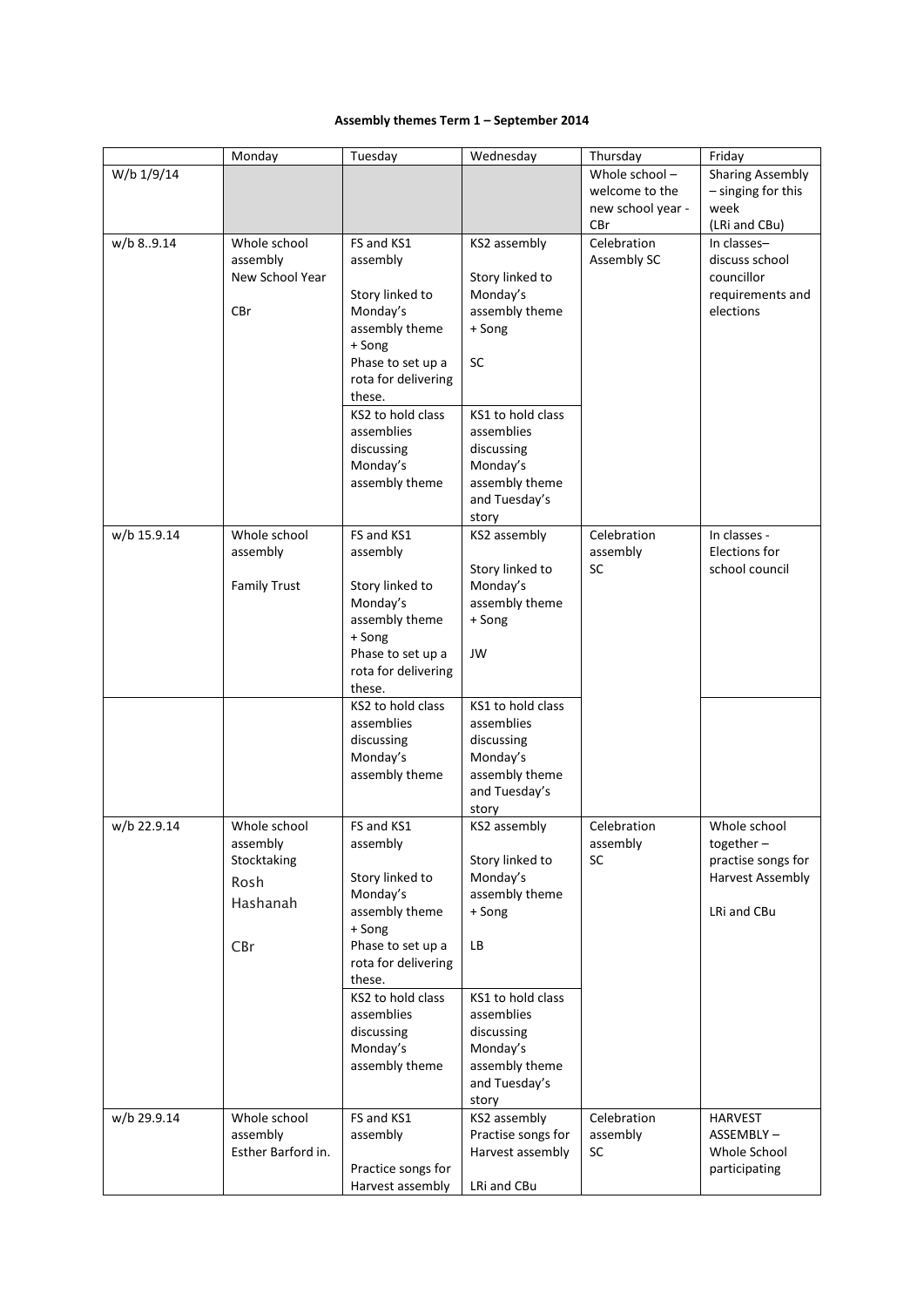## **Assembly themes Term 1 – September 2014**

|             | Monday                                                             | Tuesday                                                                                                                                                                                                                | Wednesday                                                                                                                                                                     | Thursday                                                    | Friday                                                                                |
|-------------|--------------------------------------------------------------------|------------------------------------------------------------------------------------------------------------------------------------------------------------------------------------------------------------------------|-------------------------------------------------------------------------------------------------------------------------------------------------------------------------------|-------------------------------------------------------------|---------------------------------------------------------------------------------------|
| W/b 1/9/14  |                                                                    |                                                                                                                                                                                                                        |                                                                                                                                                                               | Whole school-<br>welcome to the<br>new school year -<br>CBr | <b>Sharing Assembly</b><br>- singing for this<br>week<br>(LRi and CBu)                |
| w/b 89.14   | Whole school<br>assembly<br>New School Year<br>CBr                 | FS and KS1<br>assembly<br>Story linked to<br>Monday's<br>assembly theme<br>+ Song<br>Phase to set up a<br>rota for delivering<br>these.<br>KS2 to hold class<br>assemblies<br>discussing<br>Monday's<br>assembly theme | KS2 assembly<br>Story linked to<br>Monday's<br>assembly theme<br>+ Song<br>SC<br>KS1 to hold class<br>assemblies<br>discussing<br>Monday's<br>assembly theme<br>and Tuesday's | Celebration<br>Assembly SC                                  | In classes-<br>discuss school<br>councillor<br>requirements and<br>elections          |
| w/b 15.9.14 | Whole school<br>assembly<br><b>Family Trust</b>                    | FS and KS1<br>assembly<br>Story linked to<br>Monday's<br>assembly theme<br>+ Song<br>Phase to set up a<br>rota for delivering<br>these.                                                                                | story<br>KS2 assembly<br>Story linked to<br>Monday's<br>assembly theme<br>+ Song<br>JW                                                                                        | Celebration<br>assembly<br><b>SC</b>                        | In classes -<br>Elections for<br>school council                                       |
|             |                                                                    | KS2 to hold class<br>assemblies<br>discussing<br>Monday's<br>assembly theme                                                                                                                                            | KS1 to hold class<br>assemblies<br>discussing<br>Monday's<br>assembly theme<br>and Tuesday's<br>story                                                                         |                                                             |                                                                                       |
| w/b 22.9.14 | Whole school<br>assembly<br>Stocktaking<br>Rosh<br>Hashanah<br>CBr | FS and KS1<br>assembly<br>Story linked to<br>Monday's<br>assembly theme<br>+ Song<br>Phase to set up a<br>rota for delivering<br>these.<br>KS2 to hold class<br>assemblies<br>discussing<br>Monday's<br>assembly theme | KS2 assembly<br>Story linked to<br>Monday's<br>assembly theme<br>+ Song<br>LВ<br>KS1 to hold class<br>assemblies<br>discussing<br>Monday's<br>assembly theme<br>and Tuesday's | Celebration<br>assembly<br><b>SC</b>                        | Whole school<br>together $-$<br>practise songs for<br>Harvest Assembly<br>LRi and CBu |
| w/b 29.9.14 | Whole school<br>assembly<br>Esther Barford in.                     | FS and KS1<br>assembly<br>Practice songs for<br>Harvest assembly                                                                                                                                                       | story<br>KS2 assembly<br>Practise songs for<br>Harvest assembly<br>LRi and CBu                                                                                                | Celebration<br>assembly<br><b>SC</b>                        | <b>HARVEST</b><br>ASSEMBLY-<br>Whole School<br>participating                          |